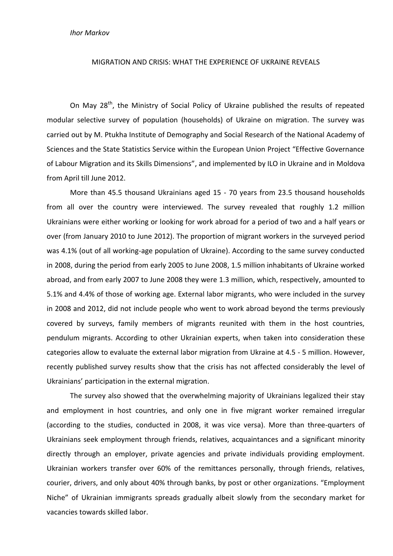## MIGRATION AND CRISIS: WHAT THE EXPERIENCE OF UKRAINE REVEALS

On May 28<sup>th</sup>, the Ministry of Social Policy of Ukraine published the results of repeated modular selective survey of population (households) of Ukraine on migration. The survey was carried out by M. Ptukha Institute of Demography and Social Research of the National Academy of Sciences and the State Statistics Service within the European Union Project "Effective Governance of Labour Migration and its Skills Dimensions", and implemented by ILO in Ukraine and in Moldova from April till June 2012.

More than 45.5 thousand Ukrainians aged 15 - 70 years from 23.5 thousand households from all over the country were interviewed. The survey revealed that roughly 1.2 million Ukrainians were either working or looking for work abroad for a period of two and a half years or over (from January 2010 to June 2012). The proportion of migrant workers in the surveyed period was 4.1% (out of all working-age population of Ukraine). According to the same survey conducted in 2008, during the period from early 2005 to June 2008, 1.5 million inhabitants of Ukraine worked abroad, and from early 2007 to June 2008 they were 1.3 million, which, respectively, amounted to 5.1% and 4.4% of those of working age. External labor migrants, who were included in the survey in 2008 and 2012, did not include people who went to work abroad beyond the terms previously covered by surveys, family members of migrants reunited with them in the host countries, pendulum migrants. According to other Ukrainian experts, when taken into consideration these categories allow to evaluate the external labor migration from Ukraine at 4.5 - 5 million. However, recently published survey results show that the crisis has not affected considerably the level of Ukrainians' participation in the external migration.

The survey also showed that the overwhelming majority of Ukrainians legalized their stay and employment in host countries, and only one in five migrant worker remained irregular (according to the studies, conducted in 2008, it was vice versa). More than three-quarters of Ukrainians seek employment through friends, relatives, acquaintances and a significant minority directly through an employer, private agencies and private individuals providing employment. Ukrainian workers transfer over 60% of the remittances personally, through friends, relatives, courier, drivers, and only about 40% through banks, by post or other organizations. "Employment Niche" of Ukrainian immigrants spreads gradually albeit slowly from the secondary market for vacancies towards skilled labor.